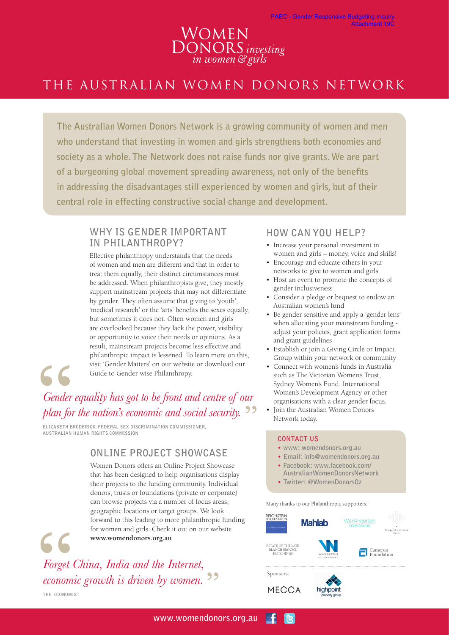# WOMEN<br>DONORS investing<br>in women & girls

# THE AUSTRALIAN WOMEN DONORS NETWORK

**The Australian Women Donors Network is a growing community of women and men who understand that investing in women and girls strengthens both economies and society as a whole. The Network does not raise funds nor give grants. We are part of a burgeoning global movement spreading awareness, not only of the benefits in addressing the disadvantages still experienced by women and girls, but of their central role in effecting constructive social change and development.**

### **WHY IS GENDER IMPORTANT IN PHILANTHROPY?**

Effective philanthropy understands that the needs of women and men are different and that in order to treat them equally, their distinct circumstances must be addressed. When philanthropists give, they mostly support mainstream projects that may not differentiate by gender. They often assume that giving to 'youth', 'medical research' or the 'arts' benefits the sexes equally, but sometimes it does not. Often women and girls are overlooked because they lack the power, visibility or opportunity to voice their needs or opinions. As a result, mainstream projects become less effective and philanthropic impact is lessened. To learn more on this, visit 'Gender Matters' on our website or download our Guide to Gender-wise Philanthropy.



C C

# *Gender equality has got to be front and centre of our plan for the nation's economic and social security.*

**ELIZABETH BRODERICK, FEDERAL SEX DISCRIMINATION COMMISSIONER, AUSTRALIAN HUMAN RIGHTS COMMISSION**

## **ONLINE PROJECT SHOWCASE**

Women Donors offers an Online Project Showcase that has been designed to help organisations display their projects to the funding community. Individual donors, trusts or foundations (private or corporate) can browse projects via a number of focus areas, geographic locations or target groups. We look forward to this leading to more philanthropic funding for women and girls. Check it out on our website **www.womendonors.org.au**

*Forget China, India and the Internet, economic growth is driven by women.* **THE ECONOMIST**

## **HOW CAN YOU HELP?**

- Increase your personal investment in women and girls – money, voice and skills!
- Encourage and educate others in your networks to give to women and girls
- Host an event to promote the concepts of gender inclusiveness
- Consider a pledge or bequest to endow an Australian women's fund
- Be gender sensitive and apply a 'gender lens' when allocating your mainstream funding adjust your policies, grant application forms and grant guidelines
- Establish or join a Giving Circle or Impact Group within your network or community
- Connect with women's funds in Australia such as The Victorian Women's Trust, Sydney Women's Fund, International Women's Development Agency or other organisations with a clear gender focus.
- Join the Australian Women Donors Network today.

#### **CONTACT US**

- **www: womendonors.org.au**
- **Email: info@womendonors.org.au**
- **Facebook: www.facebook.com/ AustralianWomenDonorsNetwork**
- **Twitter: @WomenDonorsOz**

Many thanks to our Philanthropic supporters: